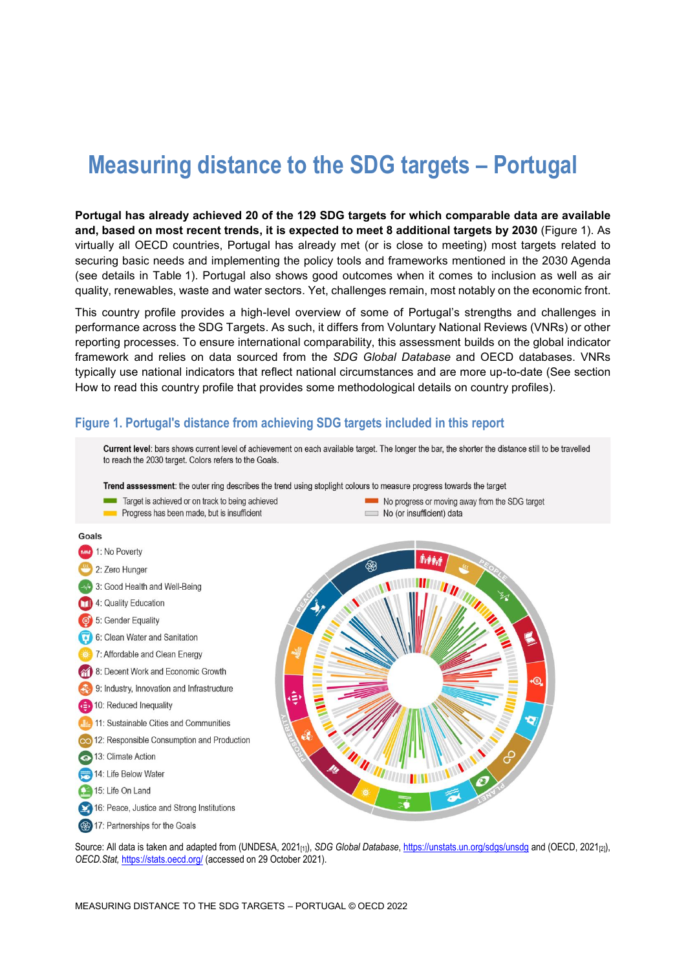# **Measuring distance to the SDG targets – Portugal**

**Portugal has already achieved 20 of the 129 SDG targets for which comparable data are available and, based on most recent trends, it is expected to meet 8 additional targets by 2030** [\(Figure](#page-0-0) 1). As virtually all OECD countries, Portugal has already met (or is close to meeting) most targets related to securing basic needs and implementing the policy tools and frameworks mentioned in the 2030 Agenda (see details in [Table](#page-3-0) 1). Portugal also shows good outcomes when it comes to inclusion as well as air quality, renewables, waste and water sectors. Yet, challenges remain, most notably on the economic front.

This country profile provides a high-level overview of some of Portugal's strengths and challenges in performance across the SDG Targets. As such, it differs from Voluntary National Reviews (VNRs) or other reporting processes. To ensure international comparability, this assessment builds on the global indicator framework and relies on data sourced from the *SDG Global Database* and OECD databases. VNRs typically use national indicators that reflect national circumstances and are more up-to-date (See section [How to read this](#page-7-0) country profile that provides some methodological details on country profiles).

### <span id="page-0-0"></span>**Figure 1. Portugal's distance from achieving SDG targets included in this report**



Source: All data is taken and adapted from (UNDESA, 2021<sub>[1]</sub>), *SDG Global Database*[, https://unstats.un.org/sdgs/unsdg](https://unstats.un.org/sdgs/unsdg) and (OECD, 2021<sub>[2]</sub>), *OECD.Stat,* <https://stats.oecd.org/> (accessed on 29 October 2021).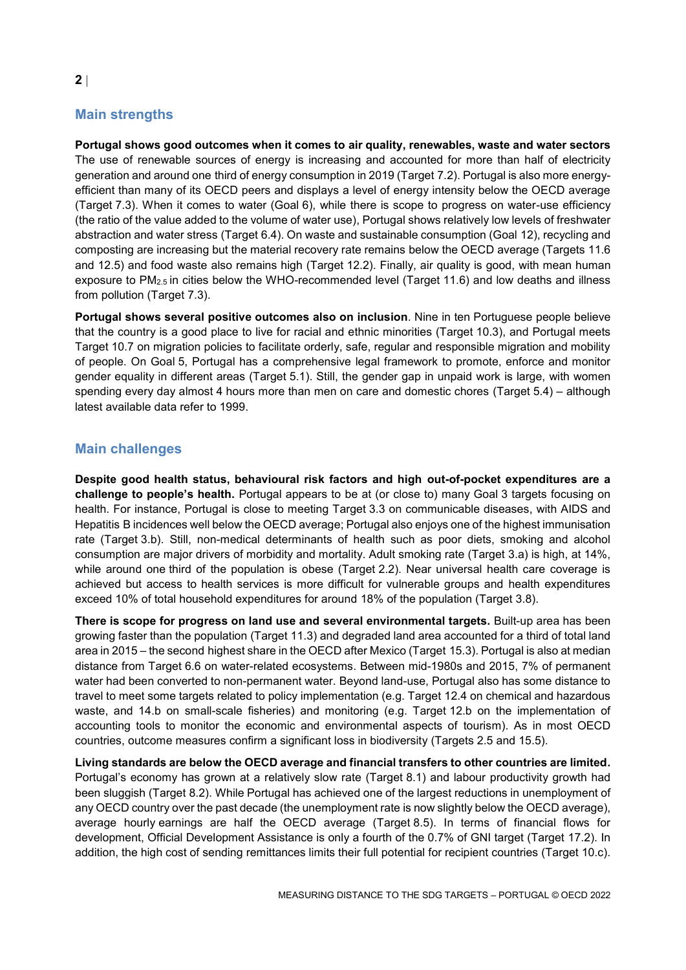# **Main strengths**

**Portugal shows good outcomes when it comes to air quality, renewables, waste and water sectors** The use of renewable sources of energy is increasing and accounted for more than half of electricity generation and around one third of energy consumption in 2019 (Target 7.2). Portugal is also more energyefficient than many of its OECD peers and displays a level of energy intensity below the OECD average (Target 7.3). When it comes to water (Goal 6), while there is scope to progress on water-use efficiency (the ratio of the value added to the volume of water use), Portugal shows relatively low levels of freshwater abstraction and water stress (Target 6.4). On waste and sustainable consumption (Goal 12), recycling and composting are increasing but the material recovery rate remains below the OECD average (Targets 11.6 and 12.5) and food waste also remains high (Target 12.2). Finally, air quality is good, with mean human exposure to PM2.5 in cities below the WHO-recommended level (Target 11.6) and low deaths and illness from pollution (Target 7.3).

**Portugal shows several positive outcomes also on inclusion**. Nine in ten Portuguese people believe that the country is a good place to live for racial and ethnic minorities (Target 10.3), and Portugal meets Target 10.7 on migration policies to facilitate orderly, safe, regular and responsible migration and mobility of people. On Goal 5, Portugal has a comprehensive legal framework to promote, enforce and monitor gender equality in different areas (Target 5.1). Still, the gender gap in unpaid work is large, with women spending every day almost 4 hours more than men on care and domestic chores (Target 5.4) – although latest available data refer to 1999.

### **Main challenges**

**Despite good health status, behavioural risk factors and high out-of-pocket expenditures are a challenge to people's health.** Portugal appears to be at (or close to) many Goal 3 targets focusing on health. For instance, Portugal is close to meeting Target 3.3 on communicable diseases, with AIDS and Hepatitis B incidences well below the OECD average; Portugal also enjoys one of the highest immunisation rate (Target 3.b). Still, non-medical determinants of health such as poor diets, smoking and alcohol consumption are major drivers of morbidity and mortality. Adult smoking rate (Target 3.a) is high, at 14%, while around one third of the population is obese (Target 2.2). Near universal health care coverage is achieved but access to health services is more difficult for vulnerable groups and health expenditures exceed 10% of total household expenditures for around 18% of the population (Target 3.8).

**There is scope for progress on land use and several environmental targets.** Built-up area has been growing faster than the population (Target 11.3) and degraded land area accounted for a third of total land area in 2015 – the second highest share in the OECD after Mexico (Target 15.3). Portugal is also at median distance from Target 6.6 on water-related ecosystems. Between mid-1980s and 2015, 7% of permanent water had been converted to non-permanent water. Beyond land-use, Portugal also has some distance to travel to meet some targets related to policy implementation (e.g. Target 12.4 on chemical and hazardous waste, and 14.b on small-scale fisheries) and monitoring (e.g. Target 12.b on the implementation of accounting tools to monitor the economic and environmental aspects of tourism). As in most OECD countries, outcome measures confirm a significant loss in biodiversity (Targets 2.5 and 15.5).

**Living standards are below the OECD average and financial transfers to other countries are limited.** Portugal's economy has grown at a relatively slow rate (Target 8.1) and labour productivity growth had been sluggish (Target 8.2). While Portugal has achieved one of the largest reductions in unemployment of any OECD country over the past decade (the unemployment rate is now slightly below the OECD average), average hourly earnings are half the OECD average (Target 8.5). In terms of financial flows for development, Official Development Assistance is only a fourth of the 0.7% of GNI target (Target 17.2). In addition, the high cost of sending remittances limits their full potential for recipient countries (Target 10.c).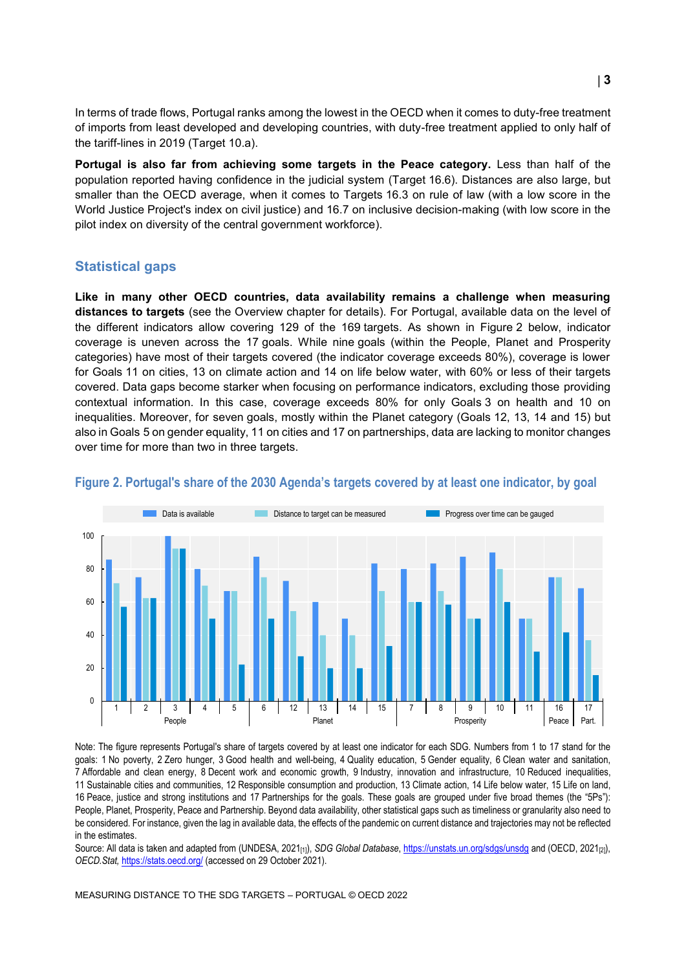In terms of trade flows, Portugal ranks among the lowest in the OECD when it comes to duty-free treatment of imports from least developed and developing countries, with duty-free treatment applied to only half of the tariff-lines in 2019 (Target 10.a).

**Portugal is also far from achieving some targets in the Peace category.** Less than half of the population reported having confidence in the judicial system (Target 16.6). Distances are also large, but smaller than the OECD average, when it comes to Targets 16.3 on rule of law (with a low score in the World Justice Project's index on civil justice) and 16.7 on inclusive decision-making (with low score in the pilot index on diversity of the central government workforce).

#### **Statistical gaps**

**Like in many other OECD countries, data availability remains a challenge when measuring distances to targets** (see the Overview chapter for details). For Portugal, available data on the level of the different indicators allow covering 129 of the 169 targets. As shown in [Figure](#page-2-0) 2 below, indicator coverage is uneven across the 17 goals. While nine goals (within the People, Planet and Prosperity categories) have most of their targets covered (the indicator coverage exceeds 80%), coverage is lower for Goals 11 on cities, 13 on climate action and 14 on life below water, with 60% or less of their targets covered. Data gaps become starker when focusing on performance indicators, excluding those providing contextual information. In this case, coverage exceeds 80% for only Goals 3 on health and 10 on inequalities. Moreover, for seven goals, mostly within the Planet category (Goals 12, 13, 14 and 15) but also in Goals 5 on gender equality, 11 on cities and 17 on partnerships, data are lacking to monitor changes over time for more than two in three targets.



#### <span id="page-2-0"></span>**Figure 2. Portugal's share of the 2030 Agenda's targets covered by at least one indicator, by goal**

Note: The figure represents Portugal's share of targets covered by at least one indicator for each SDG. Numbers from 1 to 17 stand for the goals: 1 No poverty, 2 Zero hunger, 3 Good health and well-being, 4 Quality education, 5 Gender equality, 6 Clean water and sanitation, 7 Affordable and clean energy, 8 Decent work and economic growth, 9 Industry, innovation and infrastructure, 10 Reduced inequalities, 11 Sustainable cities and communities, 12 Responsible consumption and production, 13 Climate action, 14 Life below water, 15 Life on land, 16 Peace, justice and strong institutions and 17 Partnerships for the goals. These goals are grouped under five broad themes (the "5Ps"): People, Planet, Prosperity, Peace and Partnership. Beyond data availability, other statistical gaps such as timeliness or granularity also need to be considered. For instance, given the lag in available data, the effects of the pandemic on current distance and trajectories may not be reflected in the estimates.

Source: All data is taken and adapted from (UNDESA, 2021<sub>[1]</sub>), *SDG Global Database*[, https://unstats.un.org/sdgs/unsdg](https://unstats.un.org/sdgs/unsdg) and (OECD, 2021<sub>[2]</sub>), *OECD.Stat,* <https://stats.oecd.org/> (accessed on 29 October 2021).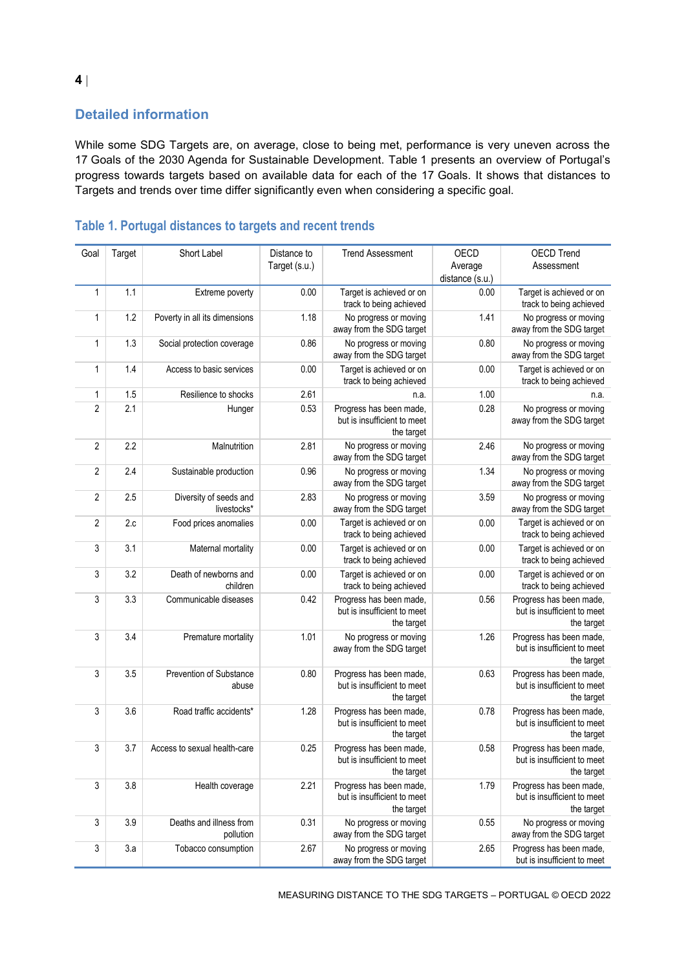# **Detailed information**

While some SDG Targets are, on average, close to being met, performance is very uneven across the 17 Goals of the 2030 Agenda for Sustainable Development. [Table](#page-3-0) 1 presents an overview of Portugal's progress towards targets based on available data for each of the 17 Goals. It shows that distances to Targets and trends over time differ significantly even when considering a specific goal.

| Goal           | Target | Short Label                           | Distance to<br>Target (s.u.) | <b>Trend Assessment</b>                                              | OECD<br>Average | <b>OECD Trend</b><br>Assessment                                      |
|----------------|--------|---------------------------------------|------------------------------|----------------------------------------------------------------------|-----------------|----------------------------------------------------------------------|
|                |        |                                       |                              |                                                                      | distance (s.u.) |                                                                      |
|                |        |                                       |                              |                                                                      |                 |                                                                      |
| $\mathbf{1}$   | 1.1    | Extreme poverty                       | 0.00                         | Target is achieved or on<br>track to being achieved                  | 0.00            | Target is achieved or on<br>track to being achieved                  |
| $\mathbf{1}$   | 1.2    | Poverty in all its dimensions         | 1.18                         | No progress or moving<br>away from the SDG target                    | 1.41            | No progress or moving<br>away from the SDG target                    |
| $\mathbf{1}$   | 1.3    | Social protection coverage            | 0.86                         | No progress or moving<br>away from the SDG target                    | 0.80            | No progress or moving<br>away from the SDG target                    |
| $\mathbf{1}$   | 1.4    | Access to basic services              | 0.00                         | Target is achieved or on<br>track to being achieved                  | 0.00            | Target is achieved or on<br>track to being achieved                  |
| 1              | 1.5    | Resilience to shocks                  | 2.61                         | n.a.                                                                 | 1.00            | n.a.                                                                 |
| $\sqrt{2}$     | 2.1    | Hunger                                | 0.53                         | Progress has been made,<br>but is insufficient to meet<br>the target | 0.28            | No progress or moving<br>away from the SDG target                    |
| $\overline{2}$ | 2.2    | Malnutrition                          | 2.81                         | No progress or moving<br>away from the SDG target                    | 2.46            | No progress or moving<br>away from the SDG target                    |
| $\overline{2}$ | 2.4    | Sustainable production                | 0.96                         | No progress or moving<br>away from the SDG target                    | 1.34            | No progress or moving<br>away from the SDG target                    |
| $\overline{2}$ | 2.5    | Diversity of seeds and<br>livestocks* | 2.83                         | No progress or moving<br>away from the SDG target                    | 3.59            | No progress or moving<br>away from the SDG target                    |
| $\overline{2}$ | 2.c    | Food prices anomalies                 | 0.00                         | Target is achieved or on<br>track to being achieved                  | 0.00            | Target is achieved or on<br>track to being achieved                  |
| 3              | 3.1    | Maternal mortality                    | 0.00                         | Target is achieved or on<br>track to being achieved                  | 0.00            | Target is achieved or on<br>track to being achieved                  |
| 3              | 3.2    | Death of newborns and<br>children     | 0.00                         | Target is achieved or on<br>track to being achieved                  | 0.00            | Target is achieved or on<br>track to being achieved                  |
| 3              | 3.3    | Communicable diseases                 | 0.42                         | Progress has been made,<br>but is insufficient to meet<br>the target | 0.56            | Progress has been made,<br>but is insufficient to meet<br>the target |
| 3              | 3.4    | Premature mortality                   | 1.01                         | No progress or moving<br>away from the SDG target                    | 1.26            | Progress has been made,<br>but is insufficient to meet<br>the target |
| 3              | 3.5    | Prevention of Substance<br>abuse      | 0.80                         | Progress has been made,<br>but is insufficient to meet<br>the target | 0.63            | Progress has been made,<br>but is insufficient to meet<br>the target |
| 3              | 3.6    | Road traffic accidents*               | 1.28                         | Progress has been made,<br>but is insufficient to meet<br>the target | 0.78            | Progress has been made,<br>but is insufficient to meet<br>the target |
| 3              | 3.7    | Access to sexual health-care          | 0.25                         | Progress has been made,<br>but is insufficient to meet<br>the target | 0.58            | Progress has been made,<br>but is insufficient to meet<br>the target |
| 3              | 3.8    | Health coverage                       | 2.21                         | Progress has been made,<br>but is insufficient to meet<br>the target | 1.79            | Progress has been made,<br>but is insufficient to meet<br>the target |
| 3              | 3.9    | Deaths and illness from<br>pollution  | 0.31                         | No progress or moving<br>away from the SDG target                    | 0.55            | No progress or moving<br>away from the SDG target                    |
| 3              | 3.a    | Tobacco consumption                   | 2.67                         | No progress or moving<br>away from the SDG target                    | 2.65            | Progress has been made,<br>but is insufficient to meet               |

# <span id="page-3-0"></span>**Table 1. Portugal distances to targets and recent trends**

MEASURING DISTANCE TO THE SDG TARGETS – PORTUGAL © OECD 2022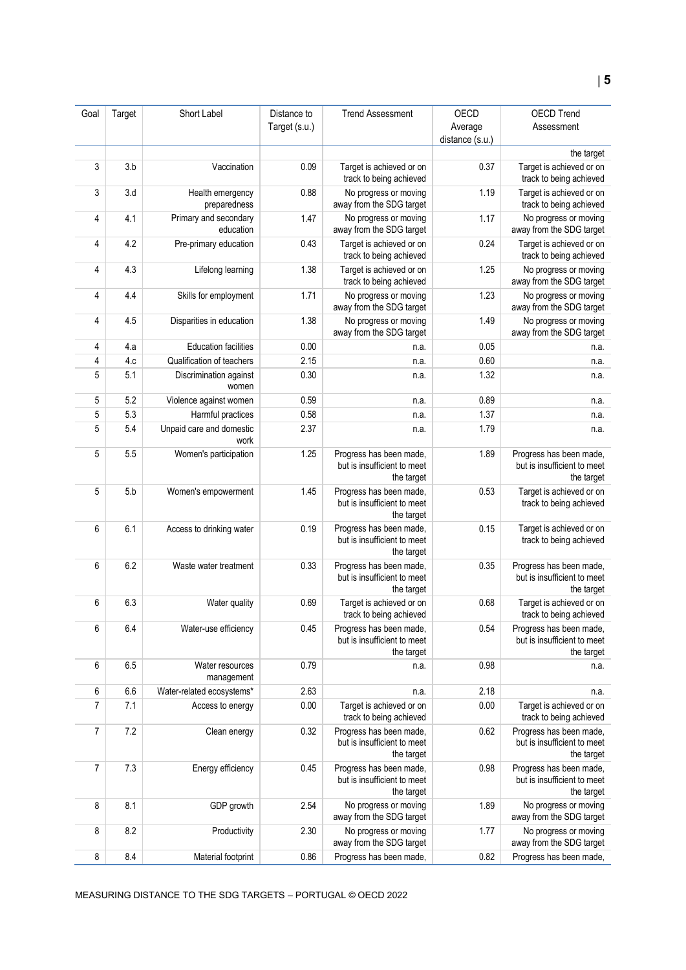| Goal | Target | Short Label                        | Distance to   | <b>Trend Assessment</b>                                              | OECD            | <b>OECD Trend</b>                                                    |
|------|--------|------------------------------------|---------------|----------------------------------------------------------------------|-----------------|----------------------------------------------------------------------|
|      |        |                                    | Target (s.u.) |                                                                      | Average         | Assessment                                                           |
|      |        |                                    |               |                                                                      | distance (s.u.) |                                                                      |
|      |        |                                    |               |                                                                      |                 | the target                                                           |
| 3    | 3.b    | Vaccination                        | 0.09          | Target is achieved or on<br>track to being achieved                  | 0.37            | Target is achieved or on<br>track to being achieved                  |
| 3    | 3.d    | Health emergency<br>preparedness   | 0.88          | No progress or moving<br>away from the SDG target                    | 1.19            | Target is achieved or on<br>track to being achieved                  |
| 4    | 4.1    | Primary and secondary<br>education | 1.47          | No progress or moving<br>away from the SDG target                    | 1.17            | No progress or moving<br>away from the SDG target                    |
| 4    | 4.2    | Pre-primary education              | 0.43          | Target is achieved or on<br>track to being achieved                  | 0.24            | Target is achieved or on<br>track to being achieved                  |
| 4    | 4.3    | Lifelong learning                  | 1.38          | Target is achieved or on<br>track to being achieved                  | 1.25            | No progress or moving<br>away from the SDG target                    |
| 4    | 4.4    | Skills for employment              | 1.71          | No progress or moving<br>away from the SDG target                    | 1.23            | No progress or moving<br>away from the SDG target                    |
| 4    | 4.5    | Disparities in education           | 1.38          | No progress or moving<br>away from the SDG target                    | 1.49            | No progress or moving<br>away from the SDG target                    |
| 4    | 4.a    | <b>Education facilities</b>        | 0.00          | n.a.                                                                 | 0.05            | n.a.                                                                 |
| 4    | 4.c    | Qualification of teachers          | 2.15          | n.a.                                                                 | 0.60            | n.a.                                                                 |
| 5    | 5.1    | Discrimination against<br>women    | 0.30          | n.a.                                                                 | 1.32            | n.a.                                                                 |
| 5    | 5.2    | Violence against women             | 0.59          | n.a.                                                                 | 0.89            | n.a.                                                                 |
| 5    | 5.3    | Harmful practices                  | 0.58          | n.a.                                                                 | 1.37            | n.a.                                                                 |
| 5    | 5.4    | Unpaid care and domestic<br>work   | 2.37          | n.a.                                                                 | 1.79            | n.a.                                                                 |
| 5    | 5.5    | Women's participation              | 1.25          | Progress has been made,<br>but is insufficient to meet<br>the target | 1.89            | Progress has been made,<br>but is insufficient to meet<br>the target |
| 5    | 5.b    | Women's empowerment                | 1.45          | Progress has been made,<br>but is insufficient to meet<br>the target | 0.53            | Target is achieved or on<br>track to being achieved                  |
| 6    | 6.1    | Access to drinking water           | 0.19          | Progress has been made,<br>but is insufficient to meet<br>the target | 0.15            | Target is achieved or on<br>track to being achieved                  |
| 6    | 6.2    | Waste water treatment              | 0.33          | Progress has been made,<br>but is insufficient to meet<br>the target | 0.35            | Progress has been made,<br>but is insufficient to meet<br>the target |
| 6    | 6.3    | Water quality                      | 0.69          | Target is achieved or on<br>track to being achieved                  | 0.68            | Target is achieved or on<br>track to being achieved                  |
| 6    | 6.4    | Water-use efficiency               | 0.45          | Progress has been made,<br>but is insufficient to meet<br>the target | 0.54            | Progress has been made,<br>but is insufficient to meet<br>the target |
| 6    | 6.5    | Water resources<br>management      | 0.79          | n.a.                                                                 | 0.98            | n.a.                                                                 |
| 6    | 6.6    | Water-related ecosystems*          | 2.63          | n.a.                                                                 | 2.18            | n.a.                                                                 |
| 7    | 7.1    | Access to energy                   | 0.00          | Target is achieved or on<br>track to being achieved                  | 0.00            | Target is achieved or on<br>track to being achieved                  |
| 7    | 7.2    | Clean energy                       | 0.32          | Progress has been made,<br>but is insufficient to meet<br>the target | 0.62            | Progress has been made,<br>but is insufficient to meet<br>the target |
| 7    | 7.3    | Energy efficiency                  | 0.45          | Progress has been made,<br>but is insufficient to meet<br>the target | 0.98            | Progress has been made,<br>but is insufficient to meet<br>the target |
| 8    | 8.1    | GDP growth                         | 2.54          | No progress or moving<br>away from the SDG target                    | 1.89            | No progress or moving<br>away from the SDG target                    |
| 8    | 8.2    | Productivity                       | 2.30          | No progress or moving<br>away from the SDG target                    | 1.77            | No progress or moving<br>away from the SDG target                    |
| 8    | 8.4    | Material footprint                 | 0.86          | Progress has been made,                                              | 0.82            | Progress has been made,                                              |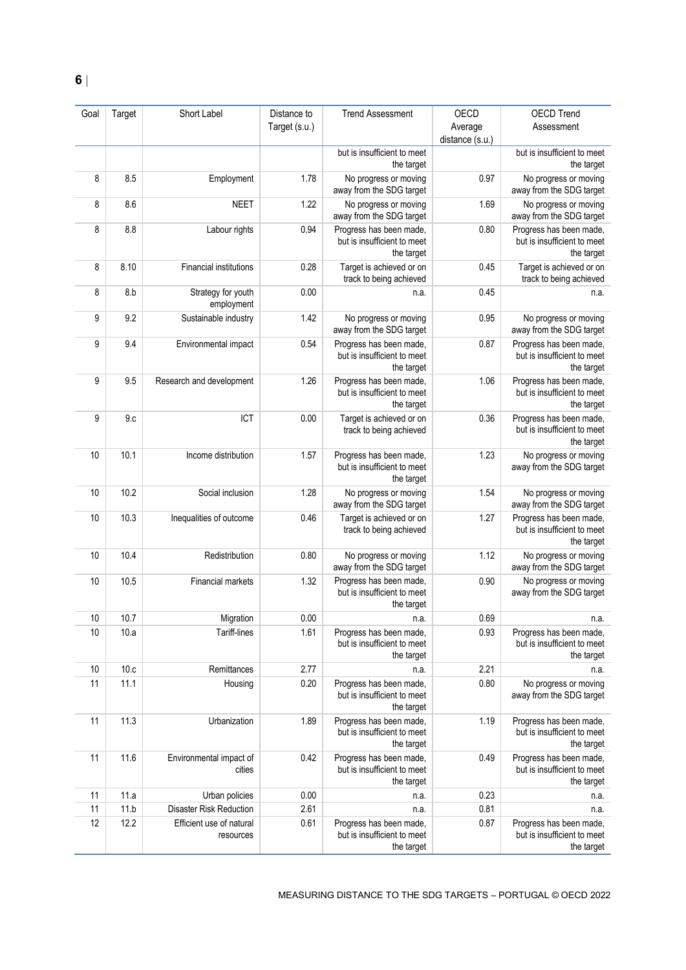| Goal | Target | Short Label                           | Distance to   | <b>Trend Assessment</b>                                              | OECD            | <b>OECD Trend</b>                                                    |
|------|--------|---------------------------------------|---------------|----------------------------------------------------------------------|-----------------|----------------------------------------------------------------------|
|      |        |                                       | Target (s.u.) |                                                                      | Average         | Assessment                                                           |
|      |        |                                       |               |                                                                      | distance (s.u.) |                                                                      |
|      |        |                                       |               | but is insufficient to meet<br>the target                            |                 | but is insufficient to meet<br>the target                            |
| 8    | 8.5    | Employment                            | 1.78          | No progress or moving<br>away from the SDG target                    | 0.97            | No progress or moving<br>away from the SDG target                    |
| 8    | 8.6    | <b>NEET</b>                           | 1.22          | No progress or moving<br>away from the SDG target                    | 1.69            | No progress or moving<br>away from the SDG target                    |
| 8    | 8.8    | Labour rights                         | 0.94          | Progress has been made,<br>but is insufficient to meet<br>the target | 0.80            | Progress has been made,<br>but is insufficient to meet<br>the target |
| 8    | 8.10   | <b>Financial institutions</b>         | 0.28          | Target is achieved or on<br>track to being achieved                  | 0.45            | Target is achieved or on<br>track to being achieved                  |
| 8    | 8.b    | Strategy for youth<br>employment      | 0.00          | n.a.                                                                 | 0.45            | n.a.                                                                 |
| 9    | 9.2    | Sustainable industry                  | 1.42          | No progress or moving<br>away from the SDG target                    | 0.95            | No progress or moving<br>away from the SDG target                    |
| 9    | 9.4    | Environmental impact                  | 0.54          | Progress has been made,<br>but is insufficient to meet<br>the target | 0.87            | Progress has been made,<br>but is insufficient to meet<br>the target |
| 9    | 9.5    | Research and development              | 1.26          | Progress has been made,<br>but is insufficient to meet<br>the target | 1.06            | Progress has been made,<br>but is insufficient to meet<br>the target |
| 9    | 9.c    | ICT                                   | 0.00          | Target is achieved or on<br>track to being achieved                  | 0.36            | Progress has been made,<br>but is insufficient to meet<br>the target |
| 10   | 10.1   | Income distribution                   | 1.57          | Progress has been made,<br>but is insufficient to meet<br>the target | 1.23            | No progress or moving<br>away from the SDG target                    |
| 10   | 10.2   | Social inclusion                      | 1.28          | No progress or moving<br>away from the SDG target                    | 1.54            | No progress or moving<br>away from the SDG target                    |
| 10   | 10.3   | Inequalities of outcome               | 0.46          | Target is achieved or on<br>track to being achieved                  | 1.27            | Progress has been made,<br>but is insufficient to meet<br>the target |
| 10   | 10.4   | Redistribution                        | 0.80          | No progress or moving<br>away from the SDG target                    | 1.12            | No progress or moving<br>away from the SDG target                    |
| 10   | 10.5   | Financial markets                     | 1.32          | Progress has been made,<br>but is insufficient to meet<br>the target | 0.90            | No progress or moving<br>away from the SDG target                    |
| $10$ | 10.7   | Migration                             | $0.00\,$      | n.a.                                                                 | 0.69            | n.a.                                                                 |
| 10   | 10.a   | Tariff-lines                          | 1.61          | Progress has been made,<br>but is insufficient to meet<br>the target | 0.93            | Progress has been made,<br>but is insufficient to meet<br>the target |
| 10   | 10.c   | Remittances                           | 2.77          | n.a.                                                                 | 2.21            | n.a.                                                                 |
| 11   | 11.1   | Housing                               | 0.20          | Progress has been made,<br>but is insufficient to meet<br>the target | 0.80            | No progress or moving<br>away from the SDG target                    |
| 11   | 11.3   | Urbanization                          | 1.89          | Progress has been made,<br>but is insufficient to meet<br>the target | 1.19            | Progress has been made,<br>but is insufficient to meet<br>the target |
| 11   | 11.6   | Environmental impact of<br>cities     | 0.42          | Progress has been made,<br>but is insufficient to meet<br>the target | 0.49            | Progress has been made,<br>but is insufficient to meet<br>the target |
| 11   | 11.a   | Urban policies                        | 0.00          | n.a.                                                                 | 0.23            | n.a.                                                                 |
| 11   | 11.b   | <b>Disaster Risk Reduction</b>        | 2.61          | n.a.                                                                 | 0.81            | n.a.                                                                 |
| 12   | 12.2   | Efficient use of natural<br>resources | 0.61          | Progress has been made,<br>but is insufficient to meet<br>the target | 0.87            | Progress has been made,<br>but is insufficient to meet<br>the target |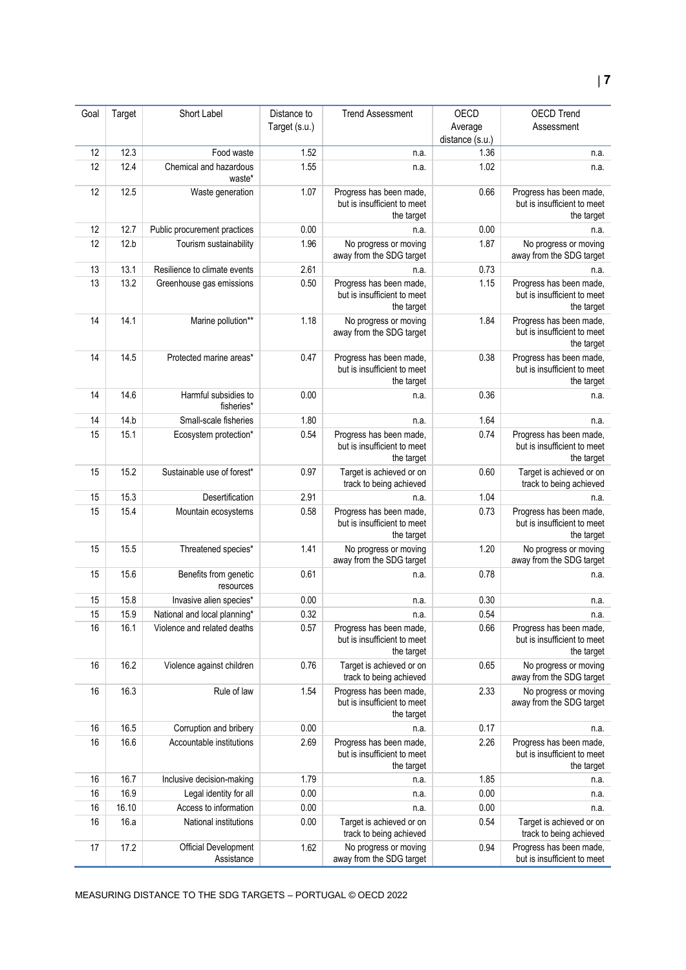| Goal | Target | Short Label                               | Distance to   | <b>Trend Assessment</b>                                              | OECD            | <b>OECD Trend</b>                                                    |
|------|--------|-------------------------------------------|---------------|----------------------------------------------------------------------|-----------------|----------------------------------------------------------------------|
|      |        |                                           | Target (s.u.) |                                                                      | Average         | Assessment                                                           |
|      |        |                                           |               |                                                                      | distance (s.u.) |                                                                      |
| 12   | 12.3   | Food waste                                | 1.52          | n.a.                                                                 | 1.36            | n.a.                                                                 |
| 12   | 12.4   | Chemical and hazardous<br>waste*          | 1.55          | n.a.                                                                 | 1.02            | n.a.                                                                 |
| 12   | 12.5   | Waste generation                          | 1.07          | Progress has been made,<br>but is insufficient to meet<br>the target | 0.66            | Progress has been made,<br>but is insufficient to meet<br>the target |
| 12   | 12.7   | Public procurement practices              | 0.00          | n.a.                                                                 | 0.00            | n.a.                                                                 |
| 12   | 12.b   | Tourism sustainability                    | 1.96          | No progress or moving<br>away from the SDG target                    | 1.87            | No progress or moving<br>away from the SDG target                    |
| 13   | 13.1   | Resilience to climate events              | 2.61          | n.a.                                                                 | 0.73            | n.a.                                                                 |
| 13   | 13.2   | Greenhouse gas emissions                  | 0.50          | Progress has been made,<br>but is insufficient to meet<br>the target | 1.15            | Progress has been made,<br>but is insufficient to meet<br>the target |
| 14   | 14.1   | Marine pollution**                        | 1.18          | No progress or moving<br>away from the SDG target                    | 1.84            | Progress has been made,<br>but is insufficient to meet<br>the target |
| 14   | 14.5   | Protected marine areas*                   | 0.47          | Progress has been made,<br>but is insufficient to meet<br>the target | 0.38            | Progress has been made,<br>but is insufficient to meet<br>the target |
| 14   | 14.6   | Harmful subsidies to<br>fisheries*        | 0.00          | n.a.                                                                 | 0.36            | n.a.                                                                 |
| 14   | 14.b   | Small-scale fisheries                     | 1.80          | n.a.                                                                 | 1.64            | n.a.                                                                 |
| 15   | 15.1   | Ecosystem protection*                     | 0.54          | Progress has been made,<br>but is insufficient to meet<br>the target | 0.74            | Progress has been made,<br>but is insufficient to meet<br>the target |
| 15   | 15.2   | Sustainable use of forest*                | 0.97          | Target is achieved or on<br>track to being achieved                  | 0.60            | Target is achieved or on<br>track to being achieved                  |
| 15   | 15.3   | Desertification                           | 2.91          | n.a.                                                                 | 1.04            | n.a.                                                                 |
| 15   | 15.4   | Mountain ecosystems                       | 0.58          | Progress has been made,<br>but is insufficient to meet<br>the target | 0.73            | Progress has been made,<br>but is insufficient to meet<br>the target |
| 15   | 15.5   | Threatened species*                       | 1.41          | No progress or moving<br>away from the SDG target                    | 1.20            | No progress or moving<br>away from the SDG target                    |
| 15   | 15.6   | Benefits from genetic<br>resources        | 0.61          | n.a.                                                                 | 0.78            | n.a.                                                                 |
| 15   | 15.8   | Invasive alien species*                   | 0.00          | n.a.                                                                 | 0.30            | n.a.                                                                 |
| 15   | 15.9   | National and local planning*              | 0.32          | n.a.                                                                 | 0.54            | n.a.                                                                 |
| 16   | 16.1   | Violence and related deaths               | 0.57          | Progress has been made,<br>but is insufficient to meet<br>the target | 0.66            | Progress has been made.<br>but is insufficient to meet<br>the target |
| 16   | 16.2   | Violence against children                 | 0.76          | Target is achieved or on<br>track to being achieved                  | 0.65            | No progress or moving<br>away from the SDG target                    |
| 16   | 16.3   | Rule of law                               | 1.54          | Progress has been made,<br>but is insufficient to meet<br>the target | 2.33            | No progress or moving<br>away from the SDG target                    |
| 16   | 16.5   | Corruption and bribery                    | 0.00          | n.a.                                                                 | 0.17            | n.a.                                                                 |
| 16   | 16.6   | Accountable institutions                  | 2.69          | Progress has been made,<br>but is insufficient to meet<br>the target | 2.26            | Progress has been made,<br>but is insufficient to meet<br>the target |
| 16   | 16.7   | Inclusive decision-making                 | 1.79          | n.a.                                                                 | 1.85            | n.a.                                                                 |
| 16   | 16.9   | Legal identity for all                    | 0.00          | n.a.                                                                 | 0.00            | n.a.                                                                 |
| 16   | 16.10  | Access to information                     | 0.00          | n.a.                                                                 | 0.00            | n.a.                                                                 |
| 16   | 16.a   | National institutions                     | 0.00          | Target is achieved or on<br>track to being achieved                  | 0.54            | Target is achieved or on<br>track to being achieved                  |
| 17   | 17.2   | <b>Official Development</b><br>Assistance | 1.62          | No progress or moving<br>away from the SDG target                    | 0.94            | Progress has been made,<br>but is insufficient to meet               |

MEASURING DISTANCE TO THE SDG TARGETS – PORTUGAL © OECD 2022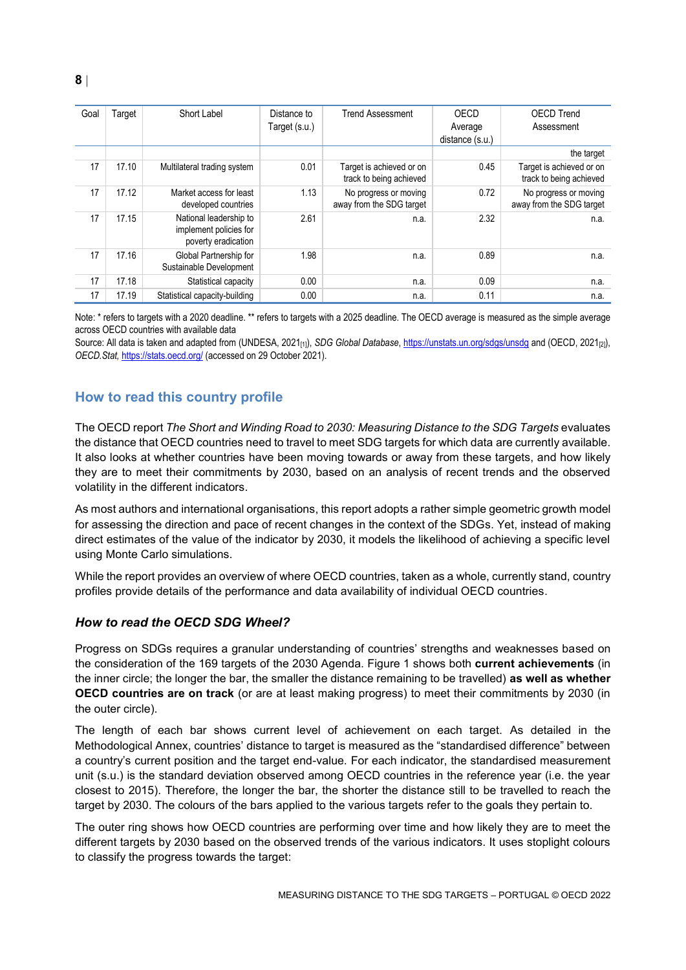| Goal | Target | Short Label                                                             | Distance to<br>Target (s.u.) | <b>Trend Assessment</b>                             | OECD<br>Average<br>distance (s.u.) | <b>OECD Trend</b><br>Assessment                     |
|------|--------|-------------------------------------------------------------------------|------------------------------|-----------------------------------------------------|------------------------------------|-----------------------------------------------------|
|      |        |                                                                         |                              |                                                     |                                    | the target                                          |
| 17   | 17.10  | Multilateral trading system                                             | 0.01                         | Target is achieved or on<br>track to being achieved | 0.45                               | Target is achieved or on<br>track to being achieved |
| 17   | 17.12  | Market access for least<br>developed countries                          | 1.13                         | No progress or moving<br>away from the SDG target   | 0.72                               | No progress or moving<br>away from the SDG target   |
| 17   | 17.15  | National leadership to<br>implement policies for<br>poverty eradication | 2.61                         | n.a.                                                | 2.32                               | n.a.                                                |
| 17   | 17.16  | Global Partnership for<br>Sustainable Development                       | 1.98                         | n.a.                                                | 0.89                               | n.a.                                                |
| 17   | 17.18  | Statistical capacity                                                    | 0.00                         | n.a.                                                | 0.09                               | n.a.                                                |
| 17   | 17.19  | Statistical capacity-building                                           | 0.00                         | n.a.                                                | 0.11                               | n.a.                                                |

Note: \* refers to targets with a 2020 deadline. \*\* refers to targets with a 2025 deadline. The OECD average is measured as the simple average across OECD countries with available data

Source: All data is taken and adapted from (UNDESA, 2021<sub>[1]</sub>), *SDG Global Database*[, https://unstats.un.org/sdgs/unsdg](https://unstats.un.org/sdgs/unsdg) and (OECD, 2021<sub>[2]</sub>), *OECD.Stat,* <https://stats.oecd.org/> (accessed on 29 October 2021).

## <span id="page-7-0"></span>**How to read this country profile**

The OECD report *The Short and Winding Road to 2030: Measuring Distance to the SDG Targets* evaluates the distance that OECD countries need to travel to meet SDG targets for which data are currently available. It also looks at whether countries have been moving towards or away from these targets, and how likely they are to meet their commitments by 2030, based on an analysis of recent trends and the observed volatility in the different indicators.

As most authors and international organisations, this report adopts a rather simple geometric growth model for assessing the direction and pace of recent changes in the context of the SDGs. Yet, instead of making direct estimates of the value of the indicator by 2030, it models the likelihood of achieving a specific level using Monte Carlo simulations.

While the report provides an overview of where OECD countries, taken as a whole, currently stand, country profiles provide details of the performance and data availability of individual OECD countries.

#### *How to read the OECD SDG Wheel?*

Progress on SDGs requires a granular understanding of countries' strengths and weaknesses based on the consideration of the 169 targets of the 2030 Agenda. [Figure](#page-0-0) 1 shows both **current achievements** (in the inner circle; the longer the bar, the smaller the distance remaining to be travelled) **as well as whether OECD countries are on track** (or are at least making progress) to meet their commitments by 2030 (in the outer circle).

The length of each bar shows current level of achievement on each target. As detailed in the Methodological Annex, countries' distance to target is measured as the "standardised difference" between a country's current position and the target end-value. For each indicator, the standardised measurement unit (s.u.) is the standard deviation observed among OECD countries in the reference year (i.e. the year closest to 2015). Therefore, the longer the bar, the shorter the distance still to be travelled to reach the target by 2030. The colours of the bars applied to the various targets refer to the goals they pertain to.

The outer ring shows how OECD countries are performing over time and how likely they are to meet the different targets by 2030 based on the observed trends of the various indicators. It uses stoplight colours to classify the progress towards the target: